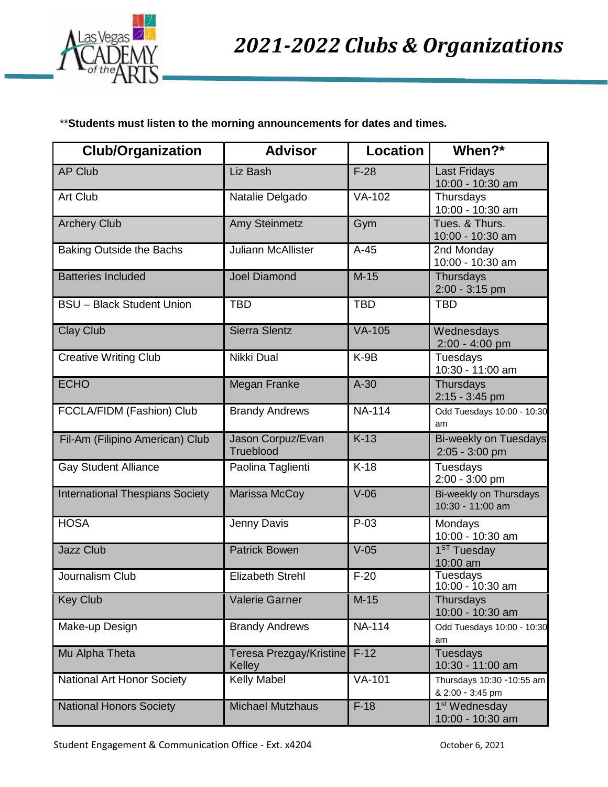

\*\***Students must listen to the morning announcements for dates and times.**

| <b>Club/Organization</b>               | <b>Advisor</b>                    | <b>Location</b>    | When?*                                         |
|----------------------------------------|-----------------------------------|--------------------|------------------------------------------------|
| <b>AP Club</b>                         | Liz Bash                          | $F-28$             | <b>Last Fridays</b><br>10:00 - 10:30 am        |
| Art Club                               | Natalie Delgado                   | VA-102             | Thursdays<br>10:00 - 10:30 am                  |
| <b>Archery Club</b>                    | Amy Steinmetz                     | Gym                | Tues. & Thurs.<br>10:00 - 10:30 am             |
| <b>Baking Outside the Bachs</b>        | <b>Juliann McAllister</b>         | $A-45$             | 2nd Monday<br>10:00 - 10:30 am                 |
| <b>Batteries Included</b>              | <b>Joel Diamond</b>               | $M-15$             | Thursdays<br>2:00 - 3:15 pm                    |
| <b>BSU</b> - Black Student Union       | <b>TBD</b>                        | <b>TBD</b>         | <b>TBD</b>                                     |
| <b>Clay Club</b>                       | <b>Sierra Slentz</b>              | $VA-105$           | Wednesdays<br>2:00 - 4:00 pm                   |
| <b>Creative Writing Club</b>           | Nikki Dual                        | $K-9B$             | Tuesdays<br>10:30 - 11:00 am                   |
| <b>ECHO</b>                            | Megan Franke                      | $A-30$             | Thursdays<br>2:15 - 3:45 pm                    |
| FCCLA/FIDM (Fashion) Club              | <b>Brandy Andrews</b>             | <b>NA-114</b>      | Odd Tuesdays 10:00 - 10:30<br>am               |
| Fil-Am (Filipino American) Club        | Jason Corpuz/Evan<br>Trueblood    | $K-13$             | <b>Bi-weekly on Tuesdays</b><br>2:05 - 3:00 pm |
| <b>Gay Student Alliance</b>            | Paolina Taglienti                 | $K-18$             | Tuesdays<br>2:00 - 3:00 pm                     |
| <b>International Thespians Society</b> | Marissa McCoy                     | $V-06$             | Bi-weekly on Thursdays<br>10:30 - 11:00 am     |
| <b>HOSA</b>                            | Jenny Davis                       | $P-03$             | Mondays<br>10:00 - 10:30 am                    |
| <b>Jazz Club</b>                       | <b>Patrick Bowen</b>              | $V-05$             | 1 <sup>ST</sup> Tuesday<br>10:00 am            |
| Journalism Club                        | <b>Elizabeth Strehl</b>           | $\overline{F}$ -20 | Tuesdays<br>10:00 - 10:30 am                   |
| <b>Key Club</b>                        | <b>Valerie Garner</b>             | $M-15$             | Thursdays<br>10:00 - 10:30 am                  |
| Make-up Design                         | <b>Brandy Andrews</b>             | <b>NA-114</b>      | Odd Tuesdays 10:00 - 10:30<br>am               |
| Mu Alpha Theta                         | Teresa Prezgay/Kristine<br>Kelley | $F-12$             | <b>Tuesdays</b><br>10:30 - 11:00 am            |
| National Art Honor Society             | Kelly Mabel                       | <b>VA-101</b>      | Thursdays 10:30 -10:55 am<br>& 2:00 - 3:45 pm  |
| <b>National Honors Society</b>         | <b>Michael Mutzhaus</b>           | $F-18$             | 1 <sup>st</sup> Wednesday<br>10:00 - 10:30 am  |